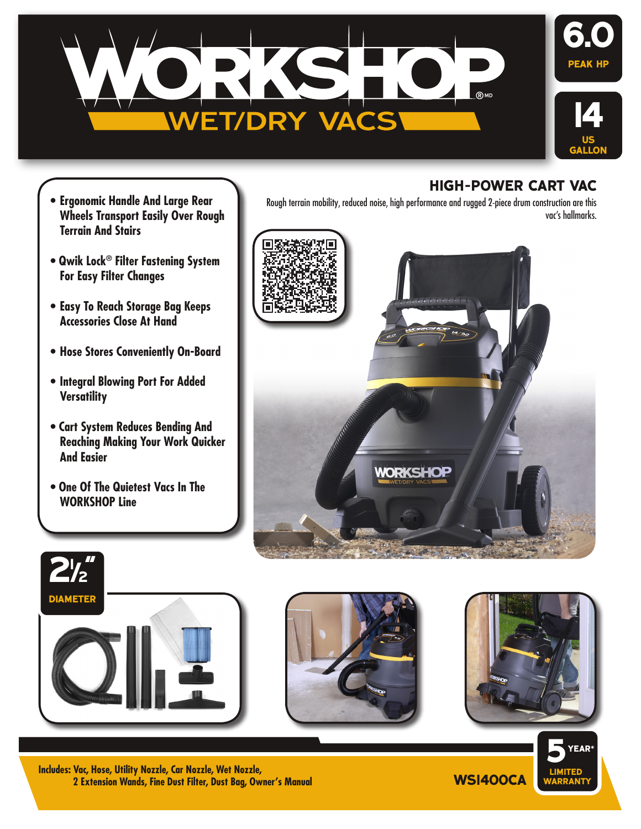

- **• Ergonomic Handle And Large Rear Wheels Transport Easily Over Rough Terrain And Stairs**
- **Qwik Lock® Filter Fastening System For Easy Filter Changes**
- **• Easy To Reach Storage Bag Keeps Accessories Close At Hand**
- **• Hose Stores Conveniently On-Board**
- **• Integral Blowing Port For Added Versatility**
- **Cart System Reduces Bending And Reaching Making Your Work Quicker And Easier**
- **One Of The Quietest Vacs In The WORKSHOP Line**



Rough terrain mobility, reduced noise, high performance and rugged 2-piece drum construction are this







**hiGH-power cart vac**

**WS1400CA Includes: Vac, Hose, Utility Nozzle, Car Nozzle, Wet Nozzle, 2 Extension Wands, Fine Dust Filter, Dust Bag, Owner's Manual**